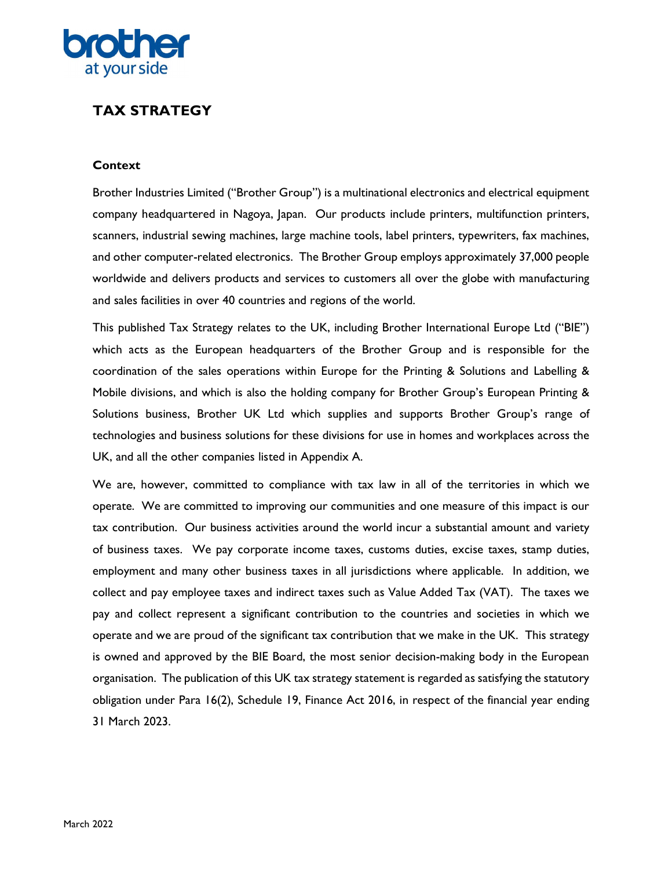

# TAX STRATEGY

# **Context**

Brother Industries Limited ("Brother Group") is a multinational electronics and electrical equipment company headquartered in Nagoya, Japan. Our products include printers, multifunction printers, scanners, industrial sewing machines, large machine tools, label printers, typewriters, fax machines, and other computer-related electronics. The Brother Group employs approximately 37,000 people worldwide and delivers products and services to customers all over the globe with manufacturing and sales facilities in over 40 countries and regions of the world.

This published Tax Strategy relates to the UK, including Brother International Europe Ltd ("BIE") which acts as the European headquarters of the Brother Group and is responsible for the coordination of the sales operations within Europe for the Printing & Solutions and Labelling & Mobile divisions, and which is also the holding company for Brother Group's European Printing & Solutions business, Brother UK Ltd which supplies and supports Brother Group's range of technologies and business solutions for these divisions for use in homes and workplaces across the UK, and all the other companies listed in Appendix A.

We are, however, committed to compliance with tax law in all of the territories in which we operate. We are committed to improving our communities and one measure of this impact is our tax contribution. Our business activities around the world incur a substantial amount and variety of business taxes. We pay corporate income taxes, customs duties, excise taxes, stamp duties, employment and many other business taxes in all jurisdictions where applicable. In addition, we collect and pay employee taxes and indirect taxes such as Value Added Tax (VAT). The taxes we pay and collect represent a significant contribution to the countries and societies in which we operate and we are proud of the significant tax contribution that we make in the UK. This strategy is owned and approved by the BIE Board, the most senior decision-making body in the European organisation. The publication of this UK tax strategy statement is regarded as satisfying the statutory obligation under Para 16(2), Schedule 19, Finance Act 2016, in respect of the financial year ending 31 March 2023.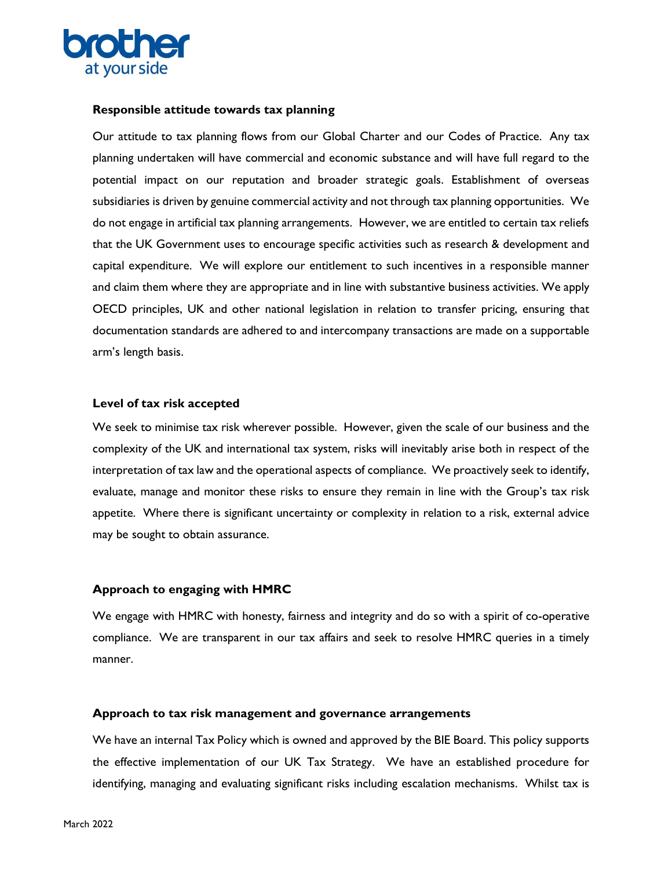

#### Responsible attitude towards tax planning

Our attitude to tax planning flows from our Global Charter and our Codes of Practice. Any tax planning undertaken will have commercial and economic substance and will have full regard to the potential impact on our reputation and broader strategic goals. Establishment of overseas subsidiaries is driven by genuine commercial activity and not through tax planning opportunities. We do not engage in artificial tax planning arrangements. However, we are entitled to certain tax reliefs that the UK Government uses to encourage specific activities such as research & development and capital expenditure. We will explore our entitlement to such incentives in a responsible manner and claim them where they are appropriate and in line with substantive business activities. We apply OECD principles, UK and other national legislation in relation to transfer pricing, ensuring that documentation standards are adhered to and intercompany transactions are made on a supportable arm's length basis.

#### Level of tax risk accepted

We seek to minimise tax risk wherever possible. However, given the scale of our business and the complexity of the UK and international tax system, risks will inevitably arise both in respect of the interpretation of tax law and the operational aspects of compliance. We proactively seek to identify, evaluate, manage and monitor these risks to ensure they remain in line with the Group's tax risk appetite. Where there is significant uncertainty or complexity in relation to a risk, external advice may be sought to obtain assurance.

# Approach to engaging with HMRC

We engage with HMRC with honesty, fairness and integrity and do so with a spirit of co-operative compliance. We are transparent in our tax affairs and seek to resolve HMRC queries in a timely manner.

# Approach to tax risk management and governance arrangements

We have an internal Tax Policy which is owned and approved by the BIE Board. This policy supports the effective implementation of our UK Tax Strategy. We have an established procedure for identifying, managing and evaluating significant risks including escalation mechanisms. Whilst tax is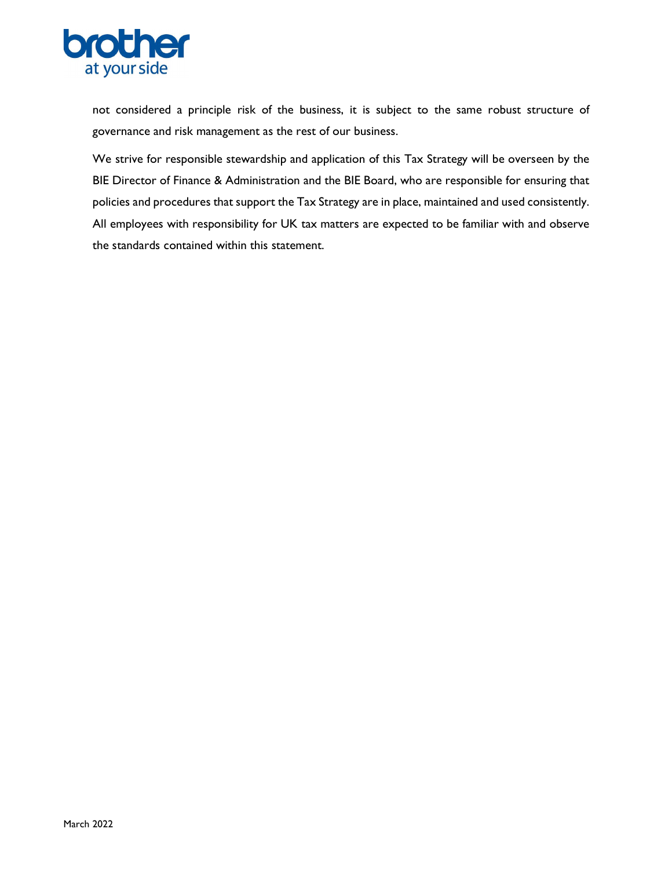

not considered a principle risk of the business, it is subject to the same robust structure of governance and risk management as the rest of our business.

We strive for responsible stewardship and application of this Tax Strategy will be overseen by the BIE Director of Finance & Administration and the BIE Board, who are responsible for ensuring that policies and procedures that support the Tax Strategy are in place, maintained and used consistently. All employees with responsibility for UK tax matters are expected to be familiar with and observe the standards contained within this statement.